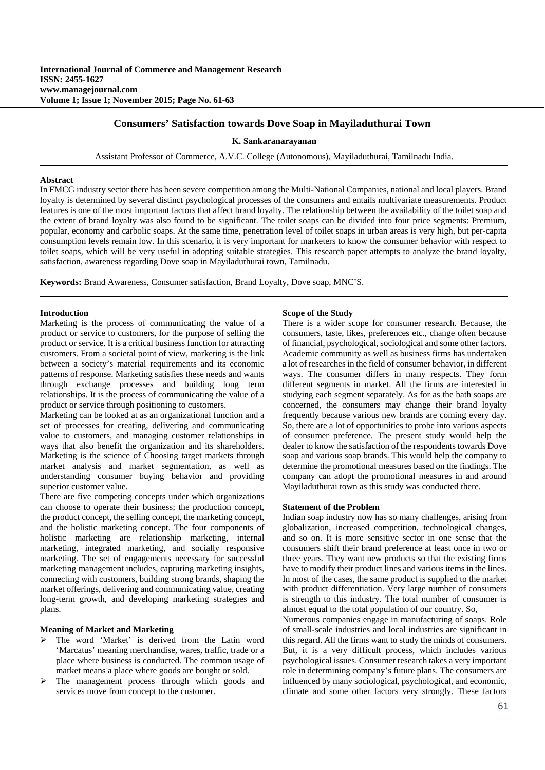# **Consumers' Satisfaction towards Dove Soap in Mayiladuthurai Town**

#### **K. Sankaranarayanan**

Assistant Professor of Commerce, A.V.C. College (Autonomous), Mayiladuthurai, Tamilnadu India.

#### **Abstract**

In FMCG industry sector there has been severe competition among the Multi-National Companies, national and local players. Brand loyalty is determined by several distinct psychological processes of the consumers and entails multivariate measurements. Product features is one of the most important factors that affect brand loyalty. The relationship between the availability of the toilet soap and the extent of brand loyalty was also found to be significant. The toilet soaps can be divided into four price segments: Premium, popular, economy and carbolic soaps. At the same time, penetration level of toilet soaps in urban areas is very high, but per-capita consumption levels remain low. In this scenario, it is very important for marketers to know the consumer behavior with respect to toilet soaps, which will be very useful in adopting suitable strategies. This research paper attempts to analyze the brand loyalty, satisfaction, awareness regarding Dove soap in Mayiladuthurai town, Tamilnadu.

**Keywords:** Brand Awareness, Consumer satisfaction, Brand Loyalty, Dove soap, MNC'S.

## **Introduction**

Marketing is the process of communicating the value of a product or service to customers, for the purpose of selling the product or service. It is a critical business function for attracting customers. From a societal point of view, marketing is the link between a society's material requirements and its economic patterns of response. Marketing satisfies these needs and wants through exchange processes and building long term relationships. It is the process of communicating the value of a product or service through positioning to customers.

Marketing can be looked at as an organizational function and a set of processes for creating, delivering and communicating value to customers, and managing customer relationships in ways that also benefit the organization and its shareholders. Marketing is the science of Choosing target markets through market analysis and market segmentation, as well as understanding consumer buying behavior and providing superior customer value.

There are five competing concepts under which organizations can choose to operate their business; the production concept, the product concept, the selling concept, the marketing concept, and the holistic marketing concept. The four components of holistic marketing are relationship marketing, internal marketing, integrated marketing, and socially responsive marketing. The set of engagements necessary for successful marketing management includes, capturing marketing insights, connecting with customers, building strong brands, shaping the market offerings, delivering and communicating value, creating long-term growth, and developing marketing strategies and plans.

## **Meaning of Market and Marketing**

- The word 'Market' is derived from the Latin word 'Marcatus' meaning merchandise, wares, traffic, trade or a place where business is conducted. The common usage of market means a place where goods are bought or sold.
- $\triangleright$  The management process through which goods and services move from concept to the customer.

#### **Scope of the Study**

There is a wider scope for consumer research. Because, the consumers, taste, likes, preferences etc., change often because of financial, psychological, sociological and some other factors. Academic community as well as business firms has undertaken a lot of researches in the field of consumer behavior, in different ways. The consumer differs in many respects. They form different segments in market. All the firms are interested in studying each segment separately. As for as the bath soaps are concerned, the consumers may change their brand loyalty frequently because various new brands are coming every day. So, there are a lot of opportunities to probe into various aspects of consumer preference. The present study would help the dealer to know the satisfaction of the respondents towards Dove soap and various soap brands. This would help the company to determine the promotional measures based on the findings. The company can adopt the promotional measures in and around Mayiladuthurai town as this study was conducted there.

#### **Statement of the Problem**

Indian soap industry now has so many challenges, arising from globalization, increased competition, technological changes, and so on. It is more sensitive sector in one sense that the consumers shift their brand preference at least once in two or three years. They want new products so that the existing firms have to modify their product lines and various items in the lines. In most of the cases, the same product is supplied to the market with product differentiation. Very large number of consumers is strength to this industry. The total number of consumer is almost equal to the total population of our country. So,

Numerous companies engage in manufacturing of soaps. Role of small-scale industries and local industries are significant in this regard. All the firms want to study the minds of consumers. But, it is a very difficult process, which includes various psychological issues. Consumer research takes a very important role in determining company's future plans. The consumers are influenced by many sociological, psychological, and economic, climate and some other factors very strongly. These factors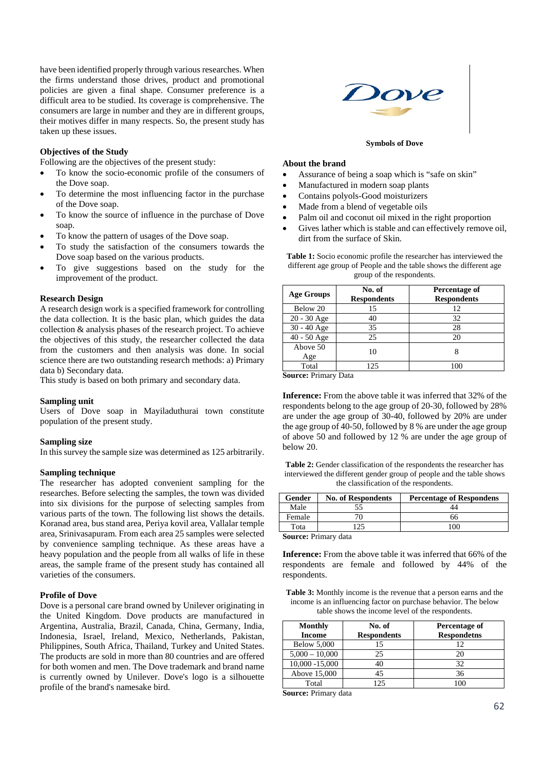have been identified properly through various researches. When the firms understand those drives, product and promotional policies are given a final shape. Consumer preference is a difficult area to be studied. Its coverage is comprehensive. The consumers are large in number and they are in different groups, their motives differ in many respects. So, the present study has taken up these issues.

## **Objectives of the Study**

Following are the objectives of the present study:

- To know the socio-economic profile of the consumers of the Dove soap.
- To determine the most influencing factor in the purchase of the Dove soap.
- To know the source of influence in the purchase of Dove soap.
- To know the pattern of usages of the Dove soap.
- To study the satisfaction of the consumers towards the Dove soap based on the various products.
- To give suggestions based on the study for the improvement of the product.

# **Research Design**

A research design work is a specified framework for controlling the data collection. It is the basic plan, which guides the data collection & analysis phases of the research project. To achieve the objectives of this study, the researcher collected the data from the customers and then analysis was done. In social science there are two outstanding research methods: a) Primary data b) Secondary data.

This study is based on both primary and secondary data.

## **Sampling unit**

Users of Dove soap in Mayiladuthurai town constitute population of the present study.

### **Sampling size**

In this survey the sample size was determined as 125 arbitrarily.

### **Sampling technique**

The researcher has adopted convenient sampling for the researches. Before selecting the samples, the town was divided into six divisions for the purpose of selecting samples from various parts of the town. The following list shows the details. Koranad area, bus stand area, Periya kovil area, Vallalar temple area, Srinivasapuram. From each area 25 samples were selected by convenience sampling technique. As these areas have a heavy population and the people from all walks of life in these areas, the sample frame of the present study has contained all varieties of the consumers.

#### **Profile of Dove**

Dove is a personal care brand owned by Unilever originating in the United Kingdom. Dove products are manufactured in Argentina, Australia, Brazil, Canada, China, Germany, India, Indonesia, Israel, Ireland, Mexico, Netherlands, Pakistan, Philippines, South Africa, Thailand, Turkey and United States. The products are sold in more than 80 countries and are offered for both women and men. The Dove trademark and brand name is currently owned by Unilever. Dove's logo is a silhouette profile of the brand's namesake bird.



#### **Symbols of Dove**

#### **About the brand**

- Assurance of being a soap which is "safe on skin"
- Manufactured in modern soap plants
- Contains polyols-Good moisturizers
- Made from a blend of vegetable oils
- Palm oil and coconut oil mixed in the right proportion
- Gives lather which is stable and can effectively remove oil, dirt from the surface of Skin.

**Table 1:** Socio economic profile the researcher has interviewed the different age group of People and the table shows the different age group of the respondents.

| <b>Age Groups</b> | No. of<br><b>Respondents</b> | Percentage of<br><b>Respondents</b> |  |
|-------------------|------------------------------|-------------------------------------|--|
| Below 20          | 15                           | 12                                  |  |
| $20 - 30$ Age     | 40                           | 32                                  |  |
| 30 - 40 Age       | 35                           | 28                                  |  |
| 40 - 50 Age       | 25                           | 20                                  |  |
| Above 50          | 10                           |                                     |  |
| Age               |                              |                                     |  |
| Total             | 125                          | 100                                 |  |

**Source:** Primary Data

**Inference:** From the above table it was inferred that 32% of the respondents belong to the age group of 20-30, followed by 28% are under the age group of 30-40, followed by 20% are under the age group of 40-50, followed by 8 % are under the age group of above 50 and followed by 12 % are under the age group of below 20.

**Table 2:** Gender classification of the respondents the researcher has interviewed the different gender group of people and the table shows the classification of the respondents.

| Gender | <b>No. of Respondents</b> | <b>Percentage of Respondens</b> |
|--------|---------------------------|---------------------------------|
| Male   |                           |                                 |
| Female |                           | nn                              |
| Tota   |                           | 100                             |

**Source:** Primary data

**Inference:** From the above table it was inferred that 66% of the respondents are female and followed by 44% of the respondents.

**Table 3:** Monthly income is the revenue that a person earns and the income is an influencing factor on purchase behavior. The below table shows the income level of the respondents.

| <b>Monthly</b>     | No. of             | Percentage of      |
|--------------------|--------------------|--------------------|
| <b>Income</b>      | <b>Respondents</b> | <b>Respondetns</b> |
| <b>Below 5,000</b> |                    | 12                 |
| $5,000 - 10,000$   | 25                 | 20                 |
| 10,000 -15,000     | 40                 | 32                 |
| Above 15,000       | 45                 | 36                 |
| Total              | 125                |                    |

**Source:** Primary data